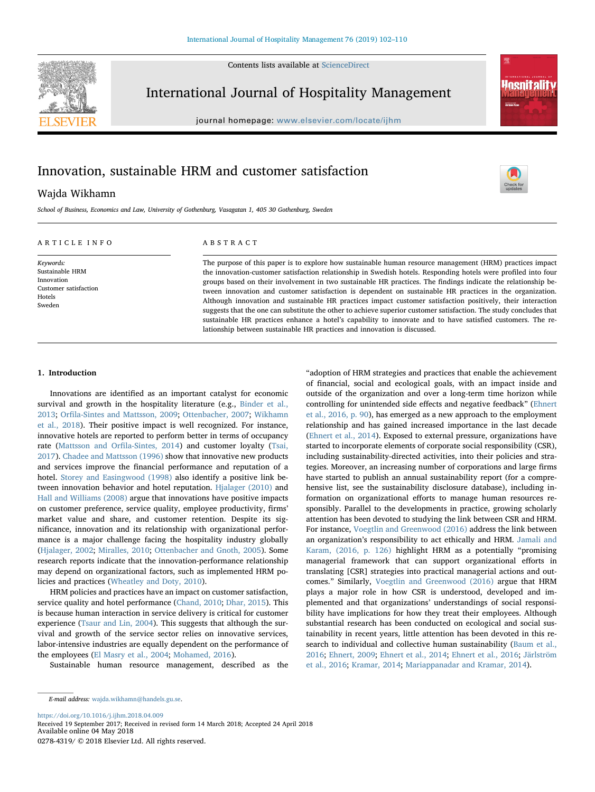Contents lists available at [ScienceDirect](http://www.sciencedirect.com/science/journal/02784319)



International Journal of Hospitality Management

journal homepage: [www.elsevier.com/locate/ijhm](https://www.elsevier.com/locate/ijhm)

# Innovation, sustainable HRM and customer satisfaction

# Wajda Wikhamn

School of Business, Economics and Law, University of Gothenburg, Vasagatan 1, 405 30 Gothenburg, Sweden

# ARTICLE INFO

Keywords: Sustainable HRM Innovation Customer satisfaction Hotels **Sweden** 

## ABSTRACT

The purpose of this paper is to explore how sustainable human resource management (HRM) practices impact the innovation-customer satisfaction relationship in Swedish hotels. Responding hotels were profiled into four groups based on their involvement in two sustainable HR practices. The findings indicate the relationship between innovation and customer satisfaction is dependent on sustainable HR practices in the organization. Although innovation and sustainable HR practices impact customer satisfaction positively, their interaction suggests that the one can substitute the other to achieve superior customer satisfaction. The study concludes that sustainable HR practices enhance a hotel's capability to innovate and to have satisfied customers. The relationship between sustainable HR practices and innovation is discussed.

### 1. Introduction

Innovations are identified as an important catalyst for economic survival and growth in the hospitality literature (e.g., [Binder et al.,](#page-7-0) [2013;](#page-7-0) Orfi[la-Sintes and Mattsson, 2009;](#page-8-0) [Ottenbacher, 2007;](#page-8-1) [Wikhamn](#page-8-2) [et al., 2018](#page-8-2)). Their positive impact is well recognized. For instance, innovative hotels are reported to perform better in terms of occupancy rate ([Mattsson and Or](#page-8-3)fila‐Sintes, 2014) and customer loyalty ([Tsai,](#page-8-4) [2017\)](#page-8-4). [Chadee and Mattsson \(1996\)](#page-7-1) show that innovative new products and services improve the financial performance and reputation of a hotel. [Storey and Easingwood \(1998\)](#page-8-5) also identify a positive link between innovation behavior and hotel reputation. [Hjalager \(2010\)](#page-8-6) and [Hall and Williams \(2008\)](#page-8-7) argue that innovations have positive impacts on customer preference, service quality, employee productivity, firms' market value and share, and customer retention. Despite its significance, innovation and its relationship with organizational performance is a major challenge facing the hospitality industry globally ([Hjalager, 2002](#page-8-8); [Miralles, 2010;](#page-8-9) [Ottenbacher and Gnoth, 2005\)](#page-8-10). Some research reports indicate that the innovation-performance relationship may depend on organizational factors, such as implemented HRM policies and practices ([Wheatley and Doty, 2010](#page-8-11)).

HRM policies and practices have an impact on customer satisfaction, service quality and hotel performance ([Chand, 2010;](#page-7-2) [Dhar, 2015](#page-8-12)). This is because human interaction in service delivery is critical for customer experience [\(Tsaur and Lin, 2004](#page-8-13)). This suggests that although the survival and growth of the service sector relies on innovative services, labor-intensive industries are equally dependent on the performance of the employees [\(El Masry et al., 2004;](#page-8-14) [Mohamed, 2016\)](#page-8-15).

Sustainable human resource management, described as the

"adoption of HRM strategies and practices that enable the achievement of financial, social and ecological goals, with an impact inside and outside of the organization and over a long-term time horizon while controlling for unintended side effects and negative feedback" [\(Ehnert](#page-8-16) [et al., 2016, p. 90](#page-8-16)), has emerged as a new approach to the employment relationship and has gained increased importance in the last decade ([Ehnert et al., 2014](#page-8-17)). Exposed to external pressure, organizations have started to incorporate elements of corporate social responsibility (CSR), including sustainability-directed activities, into their policies and strategies. Moreover, an increasing number of corporations and large firms have started to publish an annual sustainability report (for a comprehensive list, see the sustainability disclosure database), including information on organizational efforts to manage human resources responsibly. Parallel to the developments in practice, growing scholarly attention has been devoted to studying the link between CSR and HRM. For instance, [Voegtlin and Greenwood \(2016\)](#page-8-18) address the link between an organization's responsibility to act ethically and HRM. [Jamali and](#page-8-19) [Karam, \(2016, p. 126\)](#page-8-19) highlight HRM as a potentially "promising managerial framework that can support organizational efforts in translating [CSR] strategies into practical managerial actions and outcomes." Similarly, [Voegtlin and Greenwood \(2016\)](#page-8-18) argue that HRM plays a major role in how CSR is understood, developed and implemented and that organizations' understandings of social responsibility have implications for how they treat their employees. Although substantial research has been conducted on ecological and social sustainability in recent years, little attention has been devoted in this research to individual and collective human sustainability [\(Baum et al.,](#page-7-3) [2016;](#page-7-3) [Ehnert, 2009;](#page-8-20) [Ehnert et al., 2014](#page-8-17); [Ehnert et al., 2016](#page-8-16); [Järlström](#page-8-21) [et al., 2016](#page-8-21); [Kramar, 2014](#page-8-22); [Mariappanadar and Kramar, 2014](#page-8-23)).

<https://doi.org/10.1016/j.ijhm.2018.04.009>



 $\sum_{\text{the}}$ 

E-mail address: [wajda.wikhamn@handels.gu.se.](mailto:wajda.wikhamn@handels.gu.se)

Received 19 September 2017; Received in revised form 14 March 2018; Accepted 24 April 2018 Available online 04 May 2018 0278-4319/ © 2018 Elsevier Ltd. All rights reserved.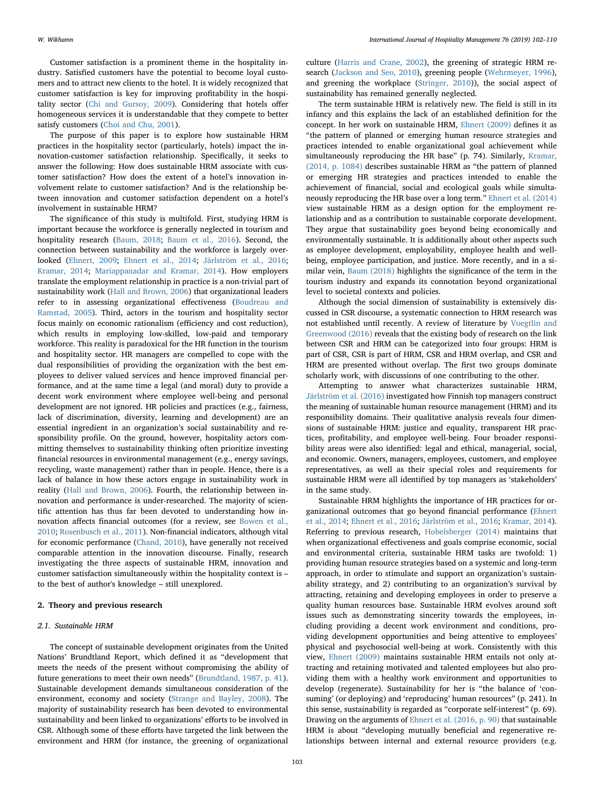Customer satisfaction is a prominent theme in the hospitality industry. Satisfied customers have the potential to become loyal customers and to attract new clients to the hotel. It is widely recognized that customer satisfaction is key for improving profitability in the hospitality sector ([Chi and Gursoy, 2009](#page-8-24)). Considering that hotels offer homogeneous services it is understandable that they compete to better satisfy customers ([Choi and Chu, 2001](#page-8-25)).

The purpose of this paper is to explore how sustainable HRM practices in the hospitality sector (particularly, hotels) impact the innovation-customer satisfaction relationship. Specifically, it seeks to answer the following: How does sustainable HRM associate with customer satisfaction? How does the extent of a hotel's innovation involvement relate to customer satisfaction? And is the relationship between innovation and customer satisfaction dependent on a hotel's involvement in sustainable HRM?

The significance of this study is multifold. First, studying HRM is important because the workforce is generally neglected in tourism and hospitality research [\(Baum, 2018](#page-7-4); [Baum et al., 2016](#page-7-3)). Second, the connection between sustainability and the workforce is largely overlooked ([Ehnert, 2009](#page-8-20); [Ehnert et al., 2014;](#page-8-17) [Järlström et al., 2016](#page-8-21); [Kramar, 2014](#page-8-22); [Mariappanadar and Kramar, 2014\)](#page-8-23). How employers translate the employment relationship in practice is a non-trivial part of sustainability work [\(Hall and Brown, 2006\)](#page-8-26) that organizational leaders refer to in assessing organizational effectiveness ([Boudreau and](#page-7-5) [Ramstad, 2005](#page-7-5)). Third, actors in the tourism and hospitality sector focus mainly on economic rationalism (efficiency and cost reduction), which results in employing low-skilled, low-paid and temporary workforce. This reality is paradoxical for the HR function in the tourism and hospitality sector. HR managers are compelled to cope with the dual responsibilities of providing the organization with the best employees to deliver valued services and hence improved financial performance, and at the same time a legal (and moral) duty to provide a decent work environment where employee well-being and personal development are not ignored. HR policies and practices (e.g., fairness, lack of discrimination, diversity, learning and development) are an essential ingredient in an organization's social sustainability and responsibility profile. On the ground, however, hospitality actors committing themselves to sustainability thinking often prioritize investing financial resources in environmental management (e.g., energy savings, recycling, waste management) rather than in people. Hence, there is a lack of balance in how these actors engage in sustainability work in reality ([Hall and Brown, 2006](#page-8-26)). Fourth, the relationship between innovation and performance is under-researched. The majority of scientific attention has thus far been devoted to understanding how innovation affects financial outcomes (for a review, see [Bowen et al.,](#page-7-6) [2010;](#page-7-6) [Rosenbusch et al., 2011](#page-8-27)). Non-financial indicators, although vital for economic performance ([Chand, 2010](#page-7-2)), have generally not received comparable attention in the innovation discourse. Finally, research investigating the three aspects of sustainable HRM, innovation and customer satisfaction simultaneously within the hospitality context is – to the best of author's knowledge – still unexplored.

### 2. Theory and previous research

### 2.1. Sustainable HRM

The concept of sustainable development originates from the United Nations' Brundtland Report, which defined it as "development that meets the needs of the present without compromising the ability of future generations to meet their own needs" ([Brundtland, 1987, p. 41](#page-7-7)). Sustainable development demands simultaneous consideration of the environment, economy and society ([Strange and Bayley, 2008](#page-8-28)). The majority of sustainability research has been devoted to environmental sustainability and been linked to organizations' efforts to be involved in CSR. Although some of these efforts have targeted the link between the environment and HRM (for instance, the greening of organizational

culture [\(Harris and Crane, 2002](#page-8-29)), the greening of strategic HRM research [\(Jackson and Seo, 2010](#page-8-30)), greening people [\(Wehrmeyer, 1996](#page-8-31)), and greening the workplace ([Stringer, 2010\)](#page-8-32)), the social aspect of sustainability has remained generally neglected.

The term sustainable HRM is relatively new. The field is still in its infancy and this explains the lack of an established definition for the concept. In her work on sustainable HRM, [Ehnert \(2009\)](#page-8-20) defines it as "the pattern of planned or emerging human resource strategies and practices intended to enable organizational goal achievement while simultaneously reproducing the HR base" (p. 74). Similarly, [Kramar,](#page-8-22) [\(2014, p. 1084\)](#page-8-22) describes sustainable HRM as "the pattern of planned or emerging HR strategies and practices intended to enable the achievement of financial, social and ecological goals while simultaneously reproducing the HR base over a long term." [Ehnert et al. \(2014\)](#page-8-17) view sustainable HRM as a design option for the employment relationship and as a contribution to sustainable corporate development. They argue that sustainability goes beyond being economically and environmentally sustainable. It is additionally about other aspects such as employee development, employability, employee health and wellbeing, employee participation, and justice. More recently, and in a similar vein, [Baum \(2018\)](#page-7-4) highlights the significance of the term in the tourism industry and expands its connotation beyond organizational level to societal contexts and policies.

Although the social dimension of sustainability is extensively discussed in CSR discourse, a systematic connection to HRM research was not established until recently. A review of literature by [Voegtlin and](#page-8-18) [Greenwood \(2016\)](#page-8-18) reveals that the existing body of research on the link between CSR and HRM can be categorized into four groups: HRM is part of CSR, CSR is part of HRM, CSR and HRM overlap, and CSR and HRM are presented without overlap. The first two groups dominate scholarly work, with discussions of one contributing to the other.

Attempting to answer what characterizes sustainable HRM, [Järlström et al. \(2016\)](#page-8-21) investigated how Finnish top managers construct the meaning of sustainable human resource management (HRM) and its responsibility domains. Their qualitative analysis reveals four dimensions of sustainable HRM: justice and equality, transparent HR practices, profitability, and employee well-being. Four broader responsibility areas were also identified: legal and ethical, managerial, social, and economic. Owners, managers, employees, customers, and employee representatives, as well as their special roles and requirements for sustainable HRM were all identified by top managers as 'stakeholders' in the same study.

Sustainable HRM highlights the importance of HR practices for organizational outcomes that go beyond financial performance [\(Ehnert](#page-8-17) [et al., 2014;](#page-8-17) [Ehnert et al., 2016;](#page-8-16) [Järlström et al., 2016;](#page-8-21) [Kramar, 2014](#page-8-22)). Referring to previous research, [Hobelsberger \(2014\)](#page-8-33) maintains that when organizational effectiveness and goals comprise economic, social and environmental criteria, sustainable HRM tasks are twofold: 1) providing human resource strategies based on a systemic and long-term approach, in order to stimulate and support an organization's sustainability strategy, and 2) contributing to an organization's survival by attracting, retaining and developing employees in order to preserve a quality human resources base. Sustainable HRM evolves around soft issues such as demonstrating sincerity towards the employees, including providing a decent work environment and conditions, providing development opportunities and being attentive to employees' physical and psychosocial well-being at work. Consistently with this view, [Ehnert \(2009\)](#page-8-20) maintains sustainable HRM entails not only attracting and retaining motivated and talented employees but also providing them with a healthy work environment and opportunities to develop (regenerate). Sustainability for her is "the balance of 'consuming' (or deploying) and 'reproducing' human resources" (p. 241). In this sense, sustainability is regarded as "corporate self-interest" (p. 69). Drawing on the arguments of [Ehnert et al. \(2016, p. 90\)](#page-8-16) that sustainable HRM is about "developing mutually beneficial and regenerative relationships between internal and external resource providers (e.g.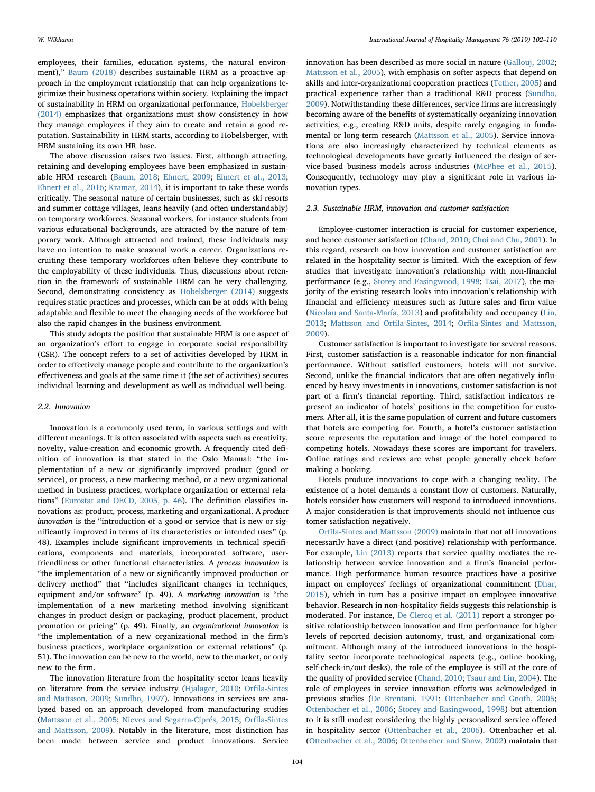employees, their families, education systems, the natural environment)," [Baum \(2018\)](#page-7-4) describes sustainable HRM as a proactive approach in the employment relationship that can help organizations legitimize their business operations within society. Explaining the impact of sustainability in HRM on organizational performance, [Hobelsberger](#page-8-33) [\(2014\)](#page-8-33) emphasizes that organizations must show consistency in how they manage employees if they aim to create and retain a good reputation. Sustainability in HRM starts, according to Hobelsberger, with HRM sustaining its own HR base.

The above discussion raises two issues. First, although attracting, retaining and developing employees have been emphasized in sustainable HRM research ([Baum, 2018;](#page-7-4) [Ehnert, 2009;](#page-8-20) [Ehnert et al., 2013](#page-8-34); [Ehnert et al., 2016](#page-8-16); [Kramar, 2014](#page-8-22)), it is important to take these words critically. The seasonal nature of certain businesses, such as ski resorts and summer cottage villages, leans heavily (and often understandably) on temporary workforces. Seasonal workers, for instance students from various educational backgrounds, are attracted by the nature of temporary work. Although attracted and trained, these individuals may have no intention to make seasonal work a career. Organizations recruiting these temporary workforces often believe they contribute to the employability of these individuals. Thus, discussions about retention in the framework of sustainable HRM can be very challenging. Second, demonstrating consistency as [Hobelsberger \(2014\)](#page-8-33) suggests requires static practices and processes, which can be at odds with being adaptable and flexible to meet the changing needs of the workforce but also the rapid changes in the business environment.

This study adopts the position that sustainable HRM is one aspect of an organization's effort to engage in corporate social responsibility (CSR). The concept refers to a set of activities developed by HRM in order to effectively manage people and contribute to the organization's effectiveness and goals at the same time it (the set of activities) secures individual learning and development as well as individual well-being.

### 2.2. Innovation

Innovation is a commonly used term, in various settings and with different meanings. It is often associated with aspects such as creativity, novelty, value-creation and economic growth. A frequently cited definition of innovation is that stated in the Oslo Manual: "the implementation of a new or significantly improved product (good or service), or process, a new marketing method, or a new organizational method in business practices, workplace organization or external relations" ([Eurostat and OECD, 2005, p. 46](#page-8-35)). The definition classifies innovations as: product, process, marketing and organizational. A product innovation is the "introduction of a good or service that is new or significantly improved in terms of its characteristics or intended uses" (p. 48). Examples include significant improvements in technical specifications, components and materials, incorporated software, userfriendliness or other functional characteristics. A process innovation is "the implementation of a new or significantly improved production or delivery method" that "includes significant changes in techniques, equipment and/or software" (p. 49). A marketing innovation is "the implementation of a new marketing method involving significant changes in product design or packaging, product placement, product promotion or pricing" (p. 49). Finally, an organizational innovation is "the implementation of a new organizational method in the firm's business practices, workplace organization or external relations" (p. 51). The innovation can be new to the world, new to the market, or only new to the firm.

The innovation literature from the hospitality sector leans heavily on literature from the service industry [\(Hjalager, 2010](#page-8-6); Orfi[la-Sintes](#page-8-0) [and Mattsson, 2009](#page-8-0); [Sundbo, 1997\)](#page-8-36). Innovations in services are analyzed based on an approach developed from manufacturing studies ([Mattsson et al., 2005](#page-8-37); [Nieves and Segarra-Ciprés, 2015;](#page-8-38) Orfi[la-Sintes](#page-8-0) [and Mattsson, 2009\)](#page-8-0). Notably in the literature, most distinction has been made between service and product innovations. Service innovation has been described as more social in nature [\(Gallouj, 2002](#page-8-39); [Mattsson et al., 2005](#page-8-37)), with emphasis on softer aspects that depend on skills and inter-organizational cooperation practices [\(Tether, 2005](#page-8-40)) and practical experience rather than a traditional R&D process ([Sundbo,](#page-8-41) [2009\)](#page-8-41). Notwithstanding these differences, service firms are increasingly becoming aware of the benefits of systematically organizing innovation activities, e.g., creating R&D units, despite rarely engaging in fundamental or long-term research ([Mattsson et al., 2005](#page-8-37)). Service innovations are also increasingly characterized by technical elements as technological developments have greatly influenced the design of service-based business models across industries [\(McPhee et al., 2015](#page-8-42)). Consequently, technology may play a significant role in various innovation types.

### 2.3. Sustainable HRM, innovation and customer satisfaction

Employee-customer interaction is crucial for customer experience, and hence customer satisfaction ([Chand, 2010;](#page-7-2) [Choi and Chu, 2001](#page-8-25)). In this regard, research on how innovation and customer satisfaction are related in the hospitality sector is limited. With the exception of few studies that investigate innovation's relationship with non-financial performance (e.g., [Storey and Easingwood, 1998](#page-8-5); [Tsai, 2017\)](#page-8-4), the majority of the existing research looks into innovation's relationship with financial and efficiency measures such as future sales and firm value ([Nicolau and Santa-María, 2013](#page-8-43)) and profitability and occupancy [\(Lin,](#page-8-44) [2013;](#page-8-44) [Mattsson and Or](#page-8-3)fila‐Sintes, 2014; Orfi[la-Sintes and Mattsson,](#page-8-0) [2009\)](#page-8-0).

Customer satisfaction is important to investigate for several reasons. First, customer satisfaction is a reasonable indicator for non-financial performance. Without satisfied customers, hotels will not survive. Second, unlike the financial indicators that are often negatively influenced by heavy investments in innovations, customer satisfaction is not part of a firm's financial reporting. Third, satisfaction indicators represent an indicator of hotels' positions in the competition for customers. After all, it is the same population of current and future customers that hotels are competing for. Fourth, a hotel's customer satisfaction score represents the reputation and image of the hotel compared to competing hotels. Nowadays these scores are important for travelers. Online ratings and reviews are what people generally check before making a booking.

Hotels produce innovations to cope with a changing reality. The existence of a hotel demands a constant flow of customers. Naturally, hotels consider how customers will respond to introduced innovations. A major consideration is that improvements should not influence customer satisfaction negatively.

Orfi[la-Sintes and Mattsson \(2009\)](#page-8-0) maintain that not all innovations necessarily have a direct (and positive) relationship with performance. For example, [Lin \(2013\)](#page-8-44) reports that service quality mediates the relationship between service innovation and a firm's financial performance. High performance human resource practices have a positive impact on employees' feelings of organizational commitment [\(Dhar,](#page-8-12) [2015\)](#page-8-12), which in turn has a positive impact on employee innovative behavior. Research in non-hospitality fields suggests this relationship is moderated. For instance, [De Clercq et al. \(2011\)](#page-8-45) report a stronger positive relationship between innovation and firm performance for higher levels of reported decision autonomy, trust, and organizational commitment. Although many of the introduced innovations in the hospitality sector incorporate technological aspects (e.g., online booking, self-check-in/out desks), the role of the employee is still at the core of the quality of provided service [\(Chand, 2010](#page-7-2); [Tsaur and Lin, 2004](#page-8-13)). The role of employees in service innovation efforts was acknowledged in previous studies ([De Brentani, 1991](#page-8-46); [Ottenbacher and Gnoth, 2005](#page-8-10); [Ottenbacher et al., 2006;](#page-8-47) [Storey and Easingwood, 1998](#page-8-5)) but attention to it is still modest considering the highly personalized service offered in hospitality sector [\(Ottenbacher et al., 2006](#page-8-47)). Ottenbacher et al. ([Ottenbacher et al., 2006](#page-8-47); [Ottenbacher and Shaw, 2002](#page-8-48)) maintain that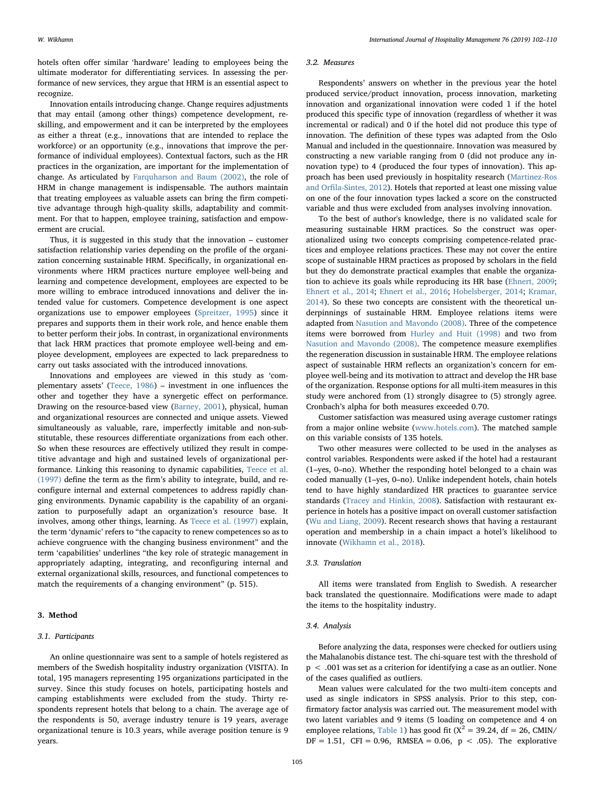hotels often offer similar 'hardware' leading to employees being the ultimate moderator for differentiating services. In assessing the performance of new services, they argue that HRM is an essential aspect to recognize.

Innovation entails introducing change. Change requires adjustments that may entail (among other things) competence development, reskilling, and empowerment and it can be interpreted by the employees as either a threat (e.g., innovations that are intended to replace the workforce) or an opportunity (e.g., innovations that improve the performance of individual employees). Contextual factors, such as the HR practices in the organization, are important for the implementation of change. As articulated by [Farquharson and Baum \(2002\),](#page-8-49) the role of HRM in change management is indispensable. The authors maintain that treating employees as valuable assets can bring the firm competitive advantage through high-quality skills, adaptability and commitment. For that to happen, employee training, satisfaction and empowerment are crucial.

Thus, it is suggested in this study that the innovation – customer satisfaction relationship varies depending on the profile of the organization concerning sustainable HRM. Specifically, in organizational environments where HRM practices nurture employee well-being and learning and competence development, employees are expected to be more willing to embrace introduced innovations and deliver the intended value for customers. Competence development is one aspect organizations use to empower employees [\(Spreitzer, 1995](#page-8-50)) since it prepares and supports them in their work role, and hence enable them to better perform their jobs. In contrast, in organizational environments that lack HRM practices that promote employee well-being and employee development, employees are expected to lack preparedness to carry out tasks associated with the introduced innovations.

Innovations and employees are viewed in this study as 'complementary assets' [\(Teece, 1986](#page-8-51)) – investment in one influences the other and together they have a synergetic effect on performance. Drawing on the resource-based view [\(Barney, 2001](#page-7-8)), physical, human and organizational resources are connected and unique assets. Viewed simultaneously as valuable, rare, imperfectly imitable and non-substitutable, these resources differentiate organizations from each other. So when these resources are effectively utilized they result in competitive advantage and high and sustained levels of organizational performance. Linking this reasoning to dynamic capabilities, [Teece et al.](#page-8-52) [\(1997\)](#page-8-52) define the term as the firm's ability to integrate, build, and reconfigure internal and external competences to address rapidly changing environments. Dynamic capability is the capability of an organization to purposefully adapt an organization's resource base. It involves, among other things, learning. As [Teece et al. \(1997\)](#page-8-52) explain, the term 'dynamic' refers to "the capacity to renew competences so as to achieve congruence with the changing business environment" and the term 'capabilities' underlines "the key role of strategic management in appropriately adapting, integrating, and reconfiguring internal and external organizational skills, resources, and functional competences to match the requirements of a changing environment" (p. 515).

### 3. Method

### 3.1. Participants

An online questionnaire was sent to a sample of hotels registered as members of the Swedish hospitality industry organization (VISITA). In total, 195 managers representing 195 organizations participated in the survey. Since this study focuses on hotels, participating hostels and camping establishments were excluded from the study. Thirty respondents represent hotels that belong to a chain. The average age of the respondents is 50, average industry tenure is 19 years, average organizational tenure is 10.3 years, while average position tenure is 9 years.

#### 3.2. Measures

Respondents' answers on whether in the previous year the hotel produced service/product innovation, process innovation, marketing innovation and organizational innovation were coded 1 if the hotel produced this specific type of innovation (regardless of whether it was incremental or radical) and 0 if the hotel did not produce this type of innovation. The definition of these types was adapted from the Oslo Manual and included in the questionnaire. Innovation was measured by constructing a new variable ranging from 0 (did not produce any innovation type) to 4 (produced the four types of innovation). This approach has been used previously in hospitality research [\(Martinez-Ros](#page-8-53) and Orfi[la-Sintes, 2012\)](#page-8-53). Hotels that reported at least one missing value on one of the four innovation types lacked a score on the constructed variable and thus were excluded from analyses involving innovation.

To the best of author's knowledge, there is no validated scale for measuring sustainable HRM practices. So the construct was operationalized using two concepts comprising competence-related practices and employee relations practices. These may not cover the entire scope of sustainable HRM practices as proposed by scholars in the field but they do demonstrate practical examples that enable the organization to achieve its goals while reproducing its HR base ([Ehnert, 2009](#page-8-20); [Ehnert et al., 2014;](#page-8-17) [Ehnert et al., 2016](#page-8-16); [Hobelsberger, 2014;](#page-8-33) [Kramar,](#page-8-22) [2014\)](#page-8-22). So these two concepts are consistent with the theoretical underpinnings of sustainable HRM. Employee relations items were adapted from [Nasution and Mavondo \(2008\)](#page-8-54). Three of the competence items were borrowed from [Hurley and Huit \(1998\)](#page-8-55) and two from [Nasution and Mavondo \(2008\).](#page-8-54) The competence measure exemplifies the regeneration discussion in sustainable HRM. The employee relations aspect of sustainable HRM reflects an organization's concern for employee well-being and its motivation to attract and develop the HR base of the organization. Response options for all multi-item measures in this study were anchored from (1) strongly disagree to (5) strongly agree. Cronbach's alpha for both measures exceeded 0.70.

Customer satisfaction was measured using average customer ratings from a major online website ([www.hotels.com\)](http://www.hotels.com). The matched sample on this variable consists of 135 hotels.

Two other measures were collected to be used in the analyses as control variables. Respondents were asked if the hotel had a restaurant (1–yes, 0–no). Whether the responding hotel belonged to a chain was coded manually (1–yes, 0–no). Unlike independent hotels, chain hotels tend to have highly standardized HR practices to guarantee service standards [\(Tracey and Hinkin, 2008\)](#page-8-56). Satisfaction with restaurant experience in hotels has a positive impact on overall customer satisfaction ([Wu and Liang, 2009\)](#page-8-57). Recent research shows that having a restaurant operation and membership in a chain impact a hotel's likelihood to innovate ([Wikhamn et al., 2018](#page-8-2)).

# 3.3. Translation

All items were translated from English to Swedish. A researcher back translated the questionnaire. Modifications were made to adapt the items to the hospitality industry.

### 3.4. Analysis

Before analyzing the data, responses were checked for outliers using the Mahalanobis distance test. The chi-square test with the threshold of p < .001 was set as a criterion for identifying a case as an outlier. None of the cases qualified as outliers.

Mean values were calculated for the two multi-item concepts and used as single indicators in SPSS analysis. Prior to this step, confirmatory factor analysis was carried out. The measurement model with two latent variables and 9 items (5 loading on competence and 4 on employee relations, [Table 1\)](#page-4-0) has good fit ( $X^2 = 39.24$ , df = 26, CMIN/  $DF = 1.51$ ,  $CFI = 0.96$ , RMSEA = 0.06,  $p < .05$ ). The explorative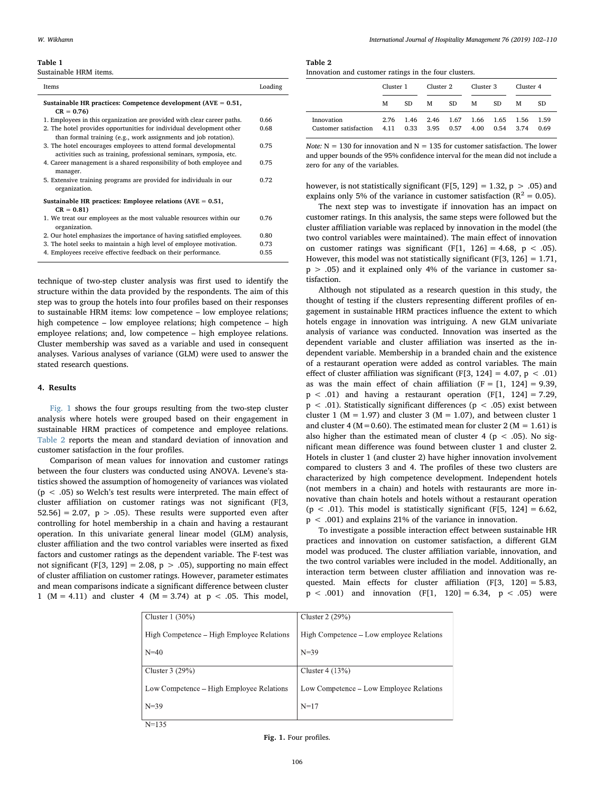#### <span id="page-4-0"></span>Table 1

Sustainable HRM items.

| Items                                                                                                                                   | Loading |
|-----------------------------------------------------------------------------------------------------------------------------------------|---------|
| Sustainable HR practices: Competence development ( $AVE = 0.51$ ,<br>$CR = 0.76$                                                        |         |
| 1. Employees in this organization are provided with clear career paths.                                                                 | 0.66    |
| 2. The hotel provides opportunities for individual development other<br>than formal training (e.g., work assignments and job rotation). | 0.68    |
| 3. The hotel encourages employees to attend formal developmental<br>activities such as training, professional seminars, symposia, etc.  | 0.75    |
| 4. Career management is a shared responsibility of both employee and<br>manager.                                                        | 0.75    |
| 5. Extensive training programs are provided for individuals in our<br>organization.                                                     | 0.72    |
| Sustainable HR practices: Employee relations ( $AVE = 0.51$ ,<br>$CR = 0.81$                                                            |         |
| 1. We treat our employees as the most valuable resources within our<br>organization.                                                    | 0.76    |
| 2. Our hotel emphasizes the importance of having satisfied employees.                                                                   | 0.80    |
| 3. The hotel seeks to maintain a high level of employee motivation.                                                                     | 0.73    |
| 4. Employees receive effective feedback on their performance.                                                                           | 0.55    |

technique of two-step cluster analysis was first used to identify the structure within the data provided by the respondents. The aim of this step was to group the hotels into four profiles based on their responses to sustainable HRM items: low competence – low employee relations; high competence – low employee relations; high competence – high employee relations; and, low competence – high employee relations. Cluster membership was saved as a variable and used in consequent analyses. Various analyses of variance (GLM) were used to answer the stated research questions.

### 4. Results

[Fig. 1](#page-4-1) shows the four groups resulting from the two-step cluster analysis where hotels were grouped based on their engagement in sustainable HRM practices of competence and employee relations. [Table 2](#page-4-2) reports the mean and standard deviation of innovation and customer satisfaction in the four profiles.

Comparison of mean values for innovation and customer ratings between the four clusters was conducted using ANOVA. Levene's statistics showed the assumption of homogeneity of variances was violated (p < .05) so Welch's test results were interpreted. The main effect of cluster affiliation on customer ratings was not significant (F[3,  $52.56$ ] = 2.07, p > .05). These results were supported even after controlling for hotel membership in a chain and having a restaurant operation. In this univariate general linear model (GLM) analysis, cluster affiliation and the two control variables were inserted as fixed factors and customer ratings as the dependent variable. The F-test was not significant (F[3, 129] = 2.08,  $p > .05$ ), supporting no main effect of cluster affiliation on customer ratings. However, parameter estimates and mean comparisons indicate a significant difference between cluster 1 ( $M = 4.11$ ) and cluster 4 ( $M = 3.74$ ) at p < .05. This model,

# <span id="page-4-2"></span>Table 2

| Innovation and customer ratings in the four clusters. |  |  |  |  |  |
|-------------------------------------------------------|--|--|--|--|--|
|-------------------------------------------------------|--|--|--|--|--|

|                                     | Cluster 1      |     | Cluster <sub>2</sub> |                                       | Cluster 3 |      | Cluster <sub>4</sub> |              |
|-------------------------------------|----------------|-----|----------------------|---------------------------------------|-----------|------|----------------------|--------------|
|                                     | м              | SD. | м                    | SD.                                   | м         | SD.  | м                    | -SD          |
| Innovation<br>Customer satisfaction | 4.11 0.33 3.95 |     |                      | 2.76 1.46 2.46 1.67 1.66 1.65<br>0.57 | 4.00      | 0.54 | 1.56<br>3.74         | 1.59<br>0.69 |

*Note:*  $N = 130$  for innovation and  $N = 135$  for customer satisfaction. The lower and upper bounds of the 95% confidence interval for the mean did not include a zero for any of the variables.

however, is not statistically significant (F[5, 129] = 1.32,  $p > .05$ ) and explains only 5% of the variance in customer satisfaction ( $R^2 = 0.05$ ).

The next step was to investigate if innovation has an impact on customer ratings. In this analysis, the same steps were followed but the cluster affiliation variable was replaced by innovation in the model (the two control variables were maintained). The main effect of innovation on customer ratings was significant  $(F[1, 126] = 4.68, p < .05)$ . However, this model was not statistically significant (F[3, 126] = 1.71, p > .05) and it explained only 4% of the variance in customer satisfaction.

Although not stipulated as a research question in this study, the thought of testing if the clusters representing different profiles of engagement in sustainable HRM practices influence the extent to which hotels engage in innovation was intriguing. A new GLM univariate analysis of variance was conducted. Innovation was inserted as the dependent variable and cluster affiliation was inserted as the independent variable. Membership in a branded chain and the existence of a restaurant operation were added as control variables. The main effect of cluster affiliation was significant (F[3, 124] = 4.07,  $p < .01$ ) as was the main effect of chain affiliation  $(F = [1, 124] = 9.39,$  $p < .01$ ) and having a restaurant operation (F[1, 124] = 7.29,  $p < .01$ ). Statistically significant differences ( $p < .05$ ) exist between cluster 1 ( $M = 1.97$ ) and cluster 3 ( $M = 1.07$ ), and between cluster 1 and cluster 4 ( $M = 0.60$ ). The estimated mean for cluster 2 ( $M = 1.61$ ) is also higher than the estimated mean of cluster 4 ( $p < .05$ ). No significant mean difference was found between cluster 1 and cluster 2. Hotels in cluster 1 (and cluster 2) have higher innovation involvement compared to clusters 3 and 4. The profiles of these two clusters are characterized by high competence development. Independent hotels (not members in a chain) and hotels with restaurants are more innovative than chain hotels and hotels without a restaurant operation (p < .01). This model is statistically significant (F[5, 124] = 6.62, p < .001) and explains 21% of the variance in innovation.

To investigate a possible interaction effect between sustainable HR practices and innovation on customer satisfaction, a different GLM model was produced. The cluster affiliation variable, innovation, and the two control variables were included in the model. Additionally, an interaction term between cluster affiliation and innovation was requested. Main effects for cluster affiliation (F[3, 120] = 5.83,  $p < .001$ ) and innovation (F[1, 120] = 6.34,  $p < .05$ ) were

<span id="page-4-1"></span>

| Cluster $1(30\%)$                         | Cluster $2(29%)$                         |
|-------------------------------------------|------------------------------------------|
|                                           |                                          |
| High Competence – High Employee Relations |                                          |
|                                           | High Competence – Low employee Relations |
|                                           |                                          |
| $N = 40$                                  | $N = 39$                                 |
|                                           |                                          |
| Cluster $3(29%)$                          | Cluster $4(13\%)$                        |
|                                           |                                          |
| Low Competence – High Employee Relations  | Low Competence – Low Employee Relations  |
|                                           |                                          |
|                                           |                                          |
| $N = 39$                                  | $N=17$                                   |
|                                           |                                          |
| $N = 135$                                 |                                          |

Fig. 1. Four profiles.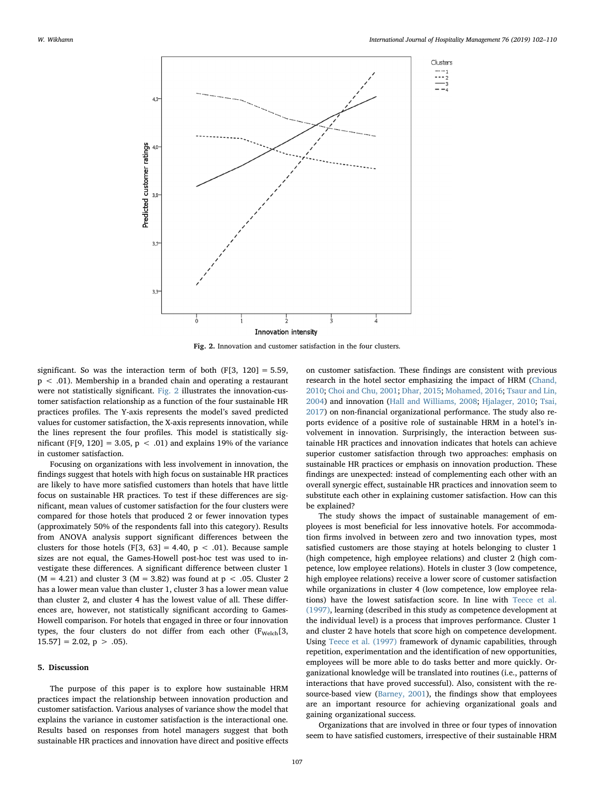<span id="page-5-0"></span>

Fig. 2. Innovation and customer satisfaction in the four clusters.

significant. So was the interaction term of both  $(F[3, 120] = 5.59,$ p < .01). Membership in a branded chain and operating a restaurant were not statistically significant. [Fig. 2](#page-5-0) illustrates the innovation-customer satisfaction relationship as a function of the four sustainable HR practices profiles. The Y-axis represents the model's saved predicted values for customer satisfaction, the X-axis represents innovation, while the lines represent the four profiles. This model is statistically significant (F[9, 120] = 3.05,  $p < .01$ ) and explains 19% of the variance in customer satisfaction.

Focusing on organizations with less involvement in innovation, the findings suggest that hotels with high focus on sustainable HR practices are likely to have more satisfied customers than hotels that have little focus on sustainable HR practices. To test if these differences are significant, mean values of customer satisfaction for the four clusters were compared for those hotels that produced 2 or fewer innovation types (approximately 50% of the respondents fall into this category). Results from ANOVA analysis support significant differences between the clusters for those hotels (F[3, 63] = 4.40,  $p < .01$ ). Because sample sizes are not equal, the Games-Howell post-hoc test was used to investigate these differences. A significant difference between cluster 1  $(M = 4.21)$  and cluster 3  $(M = 3.82)$  was found at p < .05. Cluster 2 has a lower mean value than cluster 1, cluster 3 has a lower mean value than cluster 2, and cluster 4 has the lowest value of all. These differences are, however, not statistically significant according to Games-Howell comparison. For hotels that engaged in three or four innovation types, the four clusters do not differ from each other  $(F_{Welch}[3,$  $[15.57] = 2.02$ ,  $p > .05$ ).

### 5. Discussion

The purpose of this paper is to explore how sustainable HRM practices impact the relationship between innovation production and customer satisfaction. Various analyses of variance show the model that explains the variance in customer satisfaction is the interactional one. Results based on responses from hotel managers suggest that both sustainable HR practices and innovation have direct and positive effects on customer satisfaction. These findings are consistent with previous research in the hotel sector emphasizing the impact of HRM ([Chand,](#page-7-2) [2010;](#page-7-2) [Choi and Chu, 2001](#page-8-25); [Dhar, 2015;](#page-8-12) [Mohamed, 2016](#page-8-15); [Tsaur and Lin,](#page-8-13) [2004\)](#page-8-13) and innovation [\(Hall and Williams, 2008;](#page-8-7) [Hjalager, 2010;](#page-8-6) [Tsai,](#page-8-4) [2017\)](#page-8-4) on non-financial organizational performance. The study also reports evidence of a positive role of sustainable HRM in a hotel's involvement in innovation. Surprisingly, the interaction between sustainable HR practices and innovation indicates that hotels can achieve superior customer satisfaction through two approaches: emphasis on sustainable HR practices or emphasis on innovation production. These findings are unexpected: instead of complementing each other with an overall synergic effect, sustainable HR practices and innovation seem to substitute each other in explaining customer satisfaction. How can this be explained?

The study shows the impact of sustainable management of employees is most beneficial for less innovative hotels. For accommodation firms involved in between zero and two innovation types, most satisfied customers are those staying at hotels belonging to cluster 1 (high competence, high employee relations) and cluster 2 (high competence, low employee relations). Hotels in cluster 3 (low competence, high employee relations) receive a lower score of customer satisfaction while organizations in cluster 4 (low competence, low employee relations) have the lowest satisfaction score. In line with [Teece et al.](#page-8-52) [\(1997\),](#page-8-52) learning (described in this study as competence development at the individual level) is a process that improves performance. Cluster 1 and cluster 2 have hotels that score high on competence development. Using [Teece et al. \(1997\)](#page-8-52) framework of dynamic capabilities, through repetition, experimentation and the identification of new opportunities, employees will be more able to do tasks better and more quickly. Organizational knowledge will be translated into routines (i.e., patterns of interactions that have proved successful). Also, consistent with the resource-based view [\(Barney, 2001\)](#page-7-8), the findings show that employees are an important resource for achieving organizational goals and gaining organizational success.

Organizations that are involved in three or four types of innovation seem to have satisfied customers, irrespective of their sustainable HRM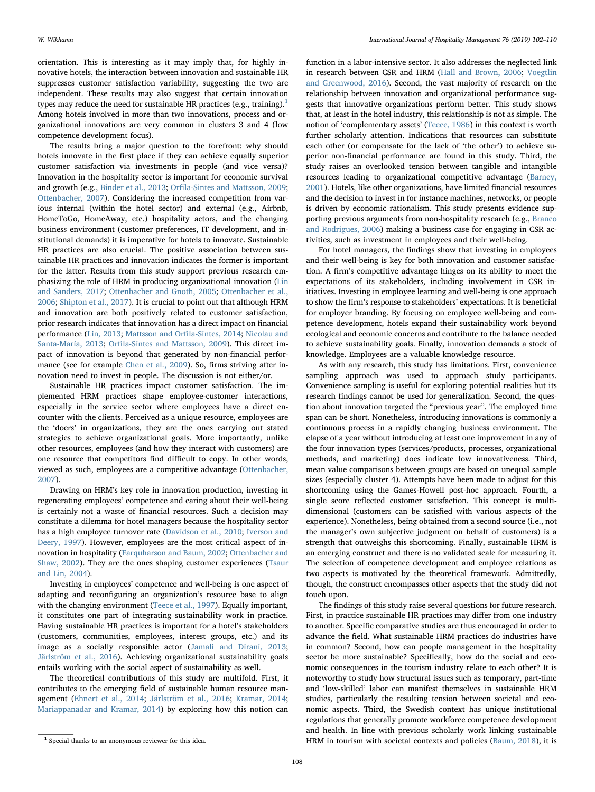orientation. This is interesting as it may imply that, for highly innovative hotels, the interaction between innovation and sustainable HR suppresses customer satisfaction variability, suggesting the two are independent. These results may also suggest that certain innovation types may reduce the need for sustainable HR practices (e.g., training).<sup>[1](#page-6-0)</sup> Among hotels involved in more than two innovations, process and organizational innovations are very common in clusters 3 and 4 (low competence development focus).

The results bring a major question to the forefront: why should hotels innovate in the first place if they can achieve equally superior customer satisfaction via investments in people (and vice versa)? Innovation in the hospitality sector is important for economic survival and growth (e.g., [Binder et al., 2013](#page-7-0); Orfi[la-Sintes and Mattsson, 2009](#page-8-0); [Ottenbacher, 2007](#page-8-1)). Considering the increased competition from various internal (within the hotel sector) and external (e.g., Airbnb, HomeToGo, HomeAway, etc.) hospitality actors, and the changing business environment (customer preferences, IT development, and institutional demands) it is imperative for hotels to innovate. Sustainable HR practices are also crucial. The positive association between sustainable HR practices and innovation indicates the former is important for the latter. Results from this study support previous research emphasizing the role of HRM in producing organizational innovation ([Lin](#page-8-58) [and Sanders, 2017](#page-8-58); [Ottenbacher and Gnoth, 2005;](#page-8-10) [Ottenbacher et al.,](#page-8-47) [2006;](#page-8-47) [Shipton et al., 2017\)](#page-8-59). It is crucial to point out that although HRM and innovation are both positively related to customer satisfaction, prior research indicates that innovation has a direct impact on financial performance [\(Lin, 2013](#page-8-44); [Mattsson and Or](#page-8-3)fila‐Sintes, 2014; [Nicolau and](#page-8-43) [Santa-María, 2013;](#page-8-43) Orfi[la-Sintes and Mattsson, 2009](#page-8-0)). This direct impact of innovation is beyond that generated by non-financial performance (see for example [Chen et al., 2009\)](#page-8-60). So, firms striving after innovation need to invest in people. The discussion is not either/or.

Sustainable HR practices impact customer satisfaction. The implemented HRM practices shape employee-customer interactions, especially in the service sector where employees have a direct encounter with the clients. Perceived as a unique resource, employees are the 'doers' in organizations, they are the ones carrying out stated strategies to achieve organizational goals. More importantly, unlike other resources, employees (and how they interact with customers) are one resource that competitors find difficult to copy. In other words, viewed as such, employees are a competitive advantage ([Ottenbacher,](#page-8-1) [2007\)](#page-8-1).

Drawing on HRM's key role in innovation production, investing in regenerating employees' competence and caring about their well-being is certainly not a waste of financial resources. Such a decision may constitute a dilemma for hotel managers because the hospitality sector has a high employee turnover rate [\(Davidson et al., 2010](#page-8-61); [Iverson and](#page-8-62) [Deery, 1997\)](#page-8-62). However, employees are the most critical aspect of innovation in hospitality [\(Farquharson and Baum, 2002;](#page-8-49) [Ottenbacher](#page-8-48) and [Shaw, 2002\)](#page-8-48). They are the ones shaping customer experiences ([Tsaur](#page-8-13) [and Lin, 2004](#page-8-13)).

Investing in employees' competence and well-being is one aspect of adapting and reconfiguring an organization's resource base to align with the changing environment [\(Teece et al., 1997](#page-8-52)). Equally important, it constitutes one part of integrating sustainability work in practice. Having sustainable HR practices is important for a hotel's stakeholders (customers, communities, employees, interest groups, etc.) and its image as a socially responsible actor ([Jamali and Dirani, 2013](#page-8-63); [Järlström et al., 2016](#page-8-21)). Achieving organizational sustainability goals entails working with the social aspect of sustainability as well.

The theoretical contributions of this study are multifold. First, it contributes to the emerging field of sustainable human resource management [\(Ehnert et al., 2014](#page-8-17); [Järlström et al., 2016](#page-8-21); [Kramar, 2014](#page-8-22); [Mariappanadar and Kramar, 2014\)](#page-8-23) by exploring how this notion can

function in a labor-intensive sector. It also addresses the neglected link in research between CSR and HRM [\(Hall and Brown, 2006](#page-8-26); [Voegtlin](#page-8-18) [and Greenwood, 2016\)](#page-8-18). Second, the vast majority of research on the relationship between innovation and organizational performance suggests that innovative organizations perform better. This study shows that, at least in the hotel industry, this relationship is not as simple. The notion of 'complementary assets' ([Teece, 1986\)](#page-8-51) in this context is worth further scholarly attention. Indications that resources can substitute each other (or compensate for the lack of 'the other') to achieve superior non-financial performance are found in this study. Third, the study raises an overlooked tension between tangible and intangible resources leading to organizational competitive advantage ([Barney,](#page-7-8) [2001\)](#page-7-8). Hotels, like other organizations, have limited financial resources and the decision to invest in for instance machines, networks, or people is driven by economic rationalism. This study presents evidence supporting previous arguments from non-hospitality research (e.g., [Branco](#page-7-9) [and Rodrigues, 2006\)](#page-7-9) making a business case for engaging in CSR activities, such as investment in employees and their well-being.

For hotel managers, the findings show that investing in employees and their well-being is key for both innovation and customer satisfaction. A firm's competitive advantage hinges on its ability to meet the expectations of its stakeholders, including involvement in CSR initiatives. Investing in employee learning and well-being is one approach to show the firm's response to stakeholders' expectations. It is beneficial for employer branding. By focusing on employee well-being and competence development, hotels expand their sustainability work beyond ecological and economic concerns and contribute to the balance needed to achieve sustainability goals. Finally, innovation demands a stock of knowledge. Employees are a valuable knowledge resource.

As with any research, this study has limitations. First, convenience sampling approach was used to approach study participants. Convenience sampling is useful for exploring potential realities but its research findings cannot be used for generalization. Second, the question about innovation targeted the "previous year". The employed time span can be short. Nonetheless, introducing innovations is commonly a continuous process in a rapidly changing business environment. The elapse of a year without introducing at least one improvement in any of the four innovation types (services/products, processes, organizational methods, and marketing) does indicate low innovativeness. Third, mean value comparisons between groups are based on unequal sample sizes (especially cluster 4). Attempts have been made to adjust for this shortcoming using the Games-Howell post-hoc approach. Fourth, a single score reflected customer satisfaction. This concept is multidimensional (customers can be satisfied with various aspects of the experience). Nonetheless, being obtained from a second source (i.e., not the manager's own subjective judgment on behalf of customers) is a strength that outweighs this shortcoming. Finally, sustainable HRM is an emerging construct and there is no validated scale for measuring it. The selection of competence development and employee relations as two aspects is motivated by the theoretical framework. Admittedly, though, the construct encompasses other aspects that the study did not touch upon.

The findings of this study raise several questions for future research. First, in practice sustainable HR practices may differ from one industry to another. Specific comparative studies are thus encouraged in order to advance the field. What sustainable HRM practices do industries have in common? Second, how can people management in the hospitality sector be more sustainable? Specifically, how do the social and economic consequences in the tourism industry relate to each other? It is noteworthy to study how structural issues such as temporary, part-time and 'low-skilled' labor can manifest themselves in sustainable HRM studies, particularly the resulting tension between societal and economic aspects. Third, the Swedish context has unique institutional regulations that generally promote workforce competence development and health. In line with previous scholarly work linking sustainable <sup>1</sup> Special thanks to an anonymous reviewer for this idea. HRM in tourism with societal contexts and policies ([Baum, 2018\)](#page-7-4), it is

<span id="page-6-0"></span>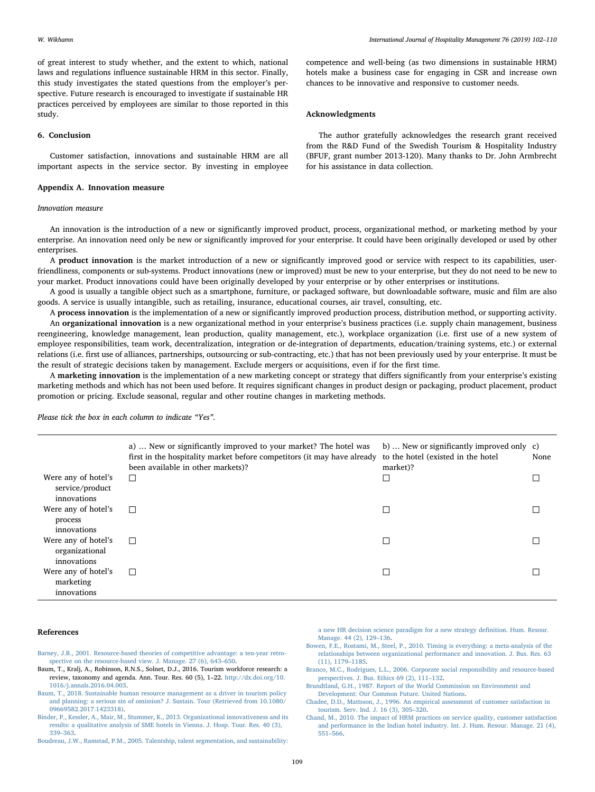of great interest to study whether, and the extent to which, national laws and regulations influence sustainable HRM in this sector. Finally, this study investigates the stated questions from the employer's perspective. Future research is encouraged to investigate if sustainable HR practices perceived by employees are similar to those reported in this study.

### 6. Conclusion

Customer satisfaction, innovations and sustainable HRM are all important aspects in the service sector. By investing in employee

#### Appendix A. Innovation measure

#### Innovation measure

An innovation is the introduction of a new or significantly improved product, process, organizational method, or marketing method by your enterprise. An innovation need only be new or significantly improved for your enterprise. It could have been originally developed or used by other enterprises.

A product innovation is the market introduction of a new or significantly improved good or service with respect to its capabilities, userfriendliness, components or sub-systems. Product innovations (new or improved) must be new to your enterprise, but they do not need to be new to your market. Product innovations could have been originally developed by your enterprise or by other enterprises or institutions.

A good is usually a tangible object such as a smartphone, furniture, or packaged software, but downloadable software, music and film are also goods. A service is usually intangible, such as retailing, insurance, educational courses, air travel, consulting, etc.

A process innovation is the implementation of a new or significantly improved production process, distribution method, or supporting activity. An organizational innovation is a new organizational method in your enterprise's business practices (i.e. supply chain management, business reengineering, knowledge management, lean production, quality management, etc.), workplace organization (i.e. first use of a new system of employee responsibilities, team work, decentralization, integration or de-integration of departments, education/training systems, etc.) or external relations (i.e. first use of alliances, partnerships, outsourcing or sub-contracting, etc.) that has not been previously used by your enterprise. It must be the result of strategic decisions taken by management. Exclude mergers or acquisitions, even if for the first time.

A marketing innovation is the implementation of a new marketing concept or strategy that differs significantly from your enterprise's existing marketing methods and which has not been used before. It requires significant changes in product design or packaging, product placement, product promotion or pricing. Exclude seasonal, regular and other routine changes in marketing methods.

Please tick the box in each column to indicate "Yes".

|                                                       | a)  New or significantly improved to your market? The hotel was<br>first in the hospitality market before competitors (it may have already to the hotel (existed in the hotel<br>been available in other markets)? | b)  New or significantly improved only c)<br>market)? | None |
|-------------------------------------------------------|--------------------------------------------------------------------------------------------------------------------------------------------------------------------------------------------------------------------|-------------------------------------------------------|------|
| Were any of hotel's<br>service/product<br>innovations | П                                                                                                                                                                                                                  | ⊏                                                     |      |
| Were any of hotel's<br>process<br>innovations         | П                                                                                                                                                                                                                  | L                                                     |      |
| Were any of hotel's<br>organizational<br>innovations  | П                                                                                                                                                                                                                  |                                                       |      |
| Were any of hotel's<br>marketing<br>innovations       | П                                                                                                                                                                                                                  | $\Box$                                                |      |

### References

- <span id="page-7-8"></span>[Barney, J.B., 2001. Resource-based theories of competitive advantage: a ten-year retro](http://refhub.elsevier.com/S0278-4319(17)30736-3/sbref0005)[spective on the resource-based view. J. Manage. 27 \(6\), 643](http://refhub.elsevier.com/S0278-4319(17)30736-3/sbref0005)–650.
- <span id="page-7-3"></span>Baum, T., Kralj, A., Robinson, R.N.S., Solnet, D.J., 2016. Tourism workforce research: a review, taxonomy and agenda. Ann. Tour. Res. 60 (5), 1–22. [http://dx.doi.org/10.](http://dx.doi.org/10.1016/j.annals.2016.04.003) [1016/j.annals.2016.04.003](http://dx.doi.org/10.1016/j.annals.2016.04.003).
- <span id="page-7-4"></span>[Baum, T., 2018. Sustainable human resource management as a driver in tourism policy](http://refhub.elsevier.com/S0278-4319(17)30736-3/sbref0015) [and planning: a serious sin of omission? J. Sustain. Tour \(Retrieved from 10.1080/](http://refhub.elsevier.com/S0278-4319(17)30736-3/sbref0015) [09669582.2017.1423318\).](http://refhub.elsevier.com/S0278-4319(17)30736-3/sbref0015)
- <span id="page-7-0"></span>[Binder, P., Kessler, A., Mair, M., Stummer, K., 2013. Organizational innovativeness and its](http://refhub.elsevier.com/S0278-4319(17)30736-3/sbref0020) [results: a qualitative analysis of SME hotels in Vienna. J. Hosp. Tour. Res. 40 \(3\),](http://refhub.elsevier.com/S0278-4319(17)30736-3/sbref0020) 339–[363](http://refhub.elsevier.com/S0278-4319(17)30736-3/sbref0020).

<span id="page-7-5"></span>[Boudreau, J.W., Ramstad, P.M., 2005. Talentship, talent segmentation, and sustainability:](http://refhub.elsevier.com/S0278-4319(17)30736-3/sbref0025)

competence and well-being (as two dimensions in sustainable HRM) hotels make a business case for engaging in CSR and increase own chances to be innovative and responsive to customer needs.

#### Acknowledgments

The author gratefully acknowledges the research grant received from the R&D Fund of the Swedish Tourism & Hospitality Industry (BFUF, grant number 2013-120). Many thanks to Dr. John Armbrecht for his assistance in data collection.

[a new HR decision science paradigm for a new strategy de](http://refhub.elsevier.com/S0278-4319(17)30736-3/sbref0025)finition. Hum. Resour. [Manage. 44 \(2\), 129](http://refhub.elsevier.com/S0278-4319(17)30736-3/sbref0025)–136.

- <span id="page-7-6"></span>[Bowen, F.E., Rostami, M., Steel, P., 2010. Timing is everything: a meta-analysis of the](http://refhub.elsevier.com/S0278-4319(17)30736-3/sbref0030) [relationships between organizational performance and innovation. J. Bus. Res. 63](http://refhub.elsevier.com/S0278-4319(17)30736-3/sbref0030) [\(11\), 1179](http://refhub.elsevier.com/S0278-4319(17)30736-3/sbref0030)–1185.
- <span id="page-7-9"></span>[Branco, M.C., Rodrigues, L.L., 2006. Corporate social responsibility and resource-based](http://refhub.elsevier.com/S0278-4319(17)30736-3/sbref0035) [perspectives. J. Bus. Ethics 69 \(2\), 111](http://refhub.elsevier.com/S0278-4319(17)30736-3/sbref0035)–132.
- <span id="page-7-7"></span>[Brundtland, G.H., 1987. Report of the World Commission on Environment and](http://refhub.elsevier.com/S0278-4319(17)30736-3/sbref0040) [Development: Our Common Future. United Nations](http://refhub.elsevier.com/S0278-4319(17)30736-3/sbref0040).
- <span id="page-7-1"></span>[Chadee, D.D., Mattsson, J., 1996. An empirical assessment of customer satisfaction in](http://refhub.elsevier.com/S0278-4319(17)30736-3/sbref0045) [tourism. Serv. Ind. J. 16 \(3\), 305](http://refhub.elsevier.com/S0278-4319(17)30736-3/sbref0045)–320.
- <span id="page-7-2"></span>[Chand, M., 2010. The impact of HRM practices on service quality, customer satisfaction](http://refhub.elsevier.com/S0278-4319(17)30736-3/sbref0050) [and performance in the Indian hotel industry. Int. J. Hum. Resour. Manage. 21 \(4\),](http://refhub.elsevier.com/S0278-4319(17)30736-3/sbref0050) 551–[566](http://refhub.elsevier.com/S0278-4319(17)30736-3/sbref0050).